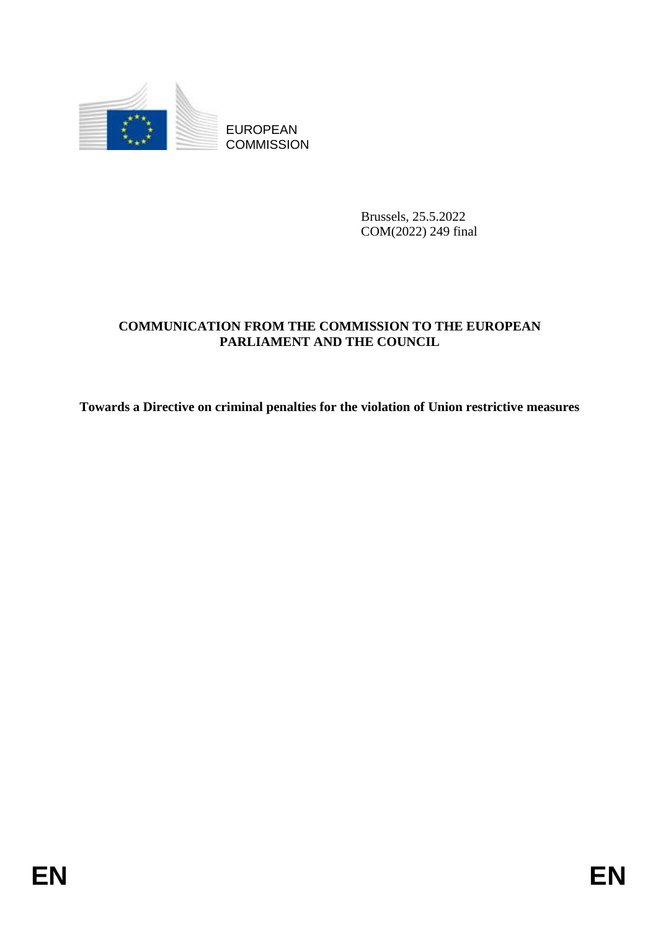

EUROPEAN **COMMISSION** 

> Brussels, 25.5.2022 COM(2022) 249 final

# **COMMUNICATION FROM THE COMMISSION TO THE EUROPEAN PARLIAMENT AND THE COUNCIL**

**Towards a Directive on criminal penalties for the violation of Union restrictive measures**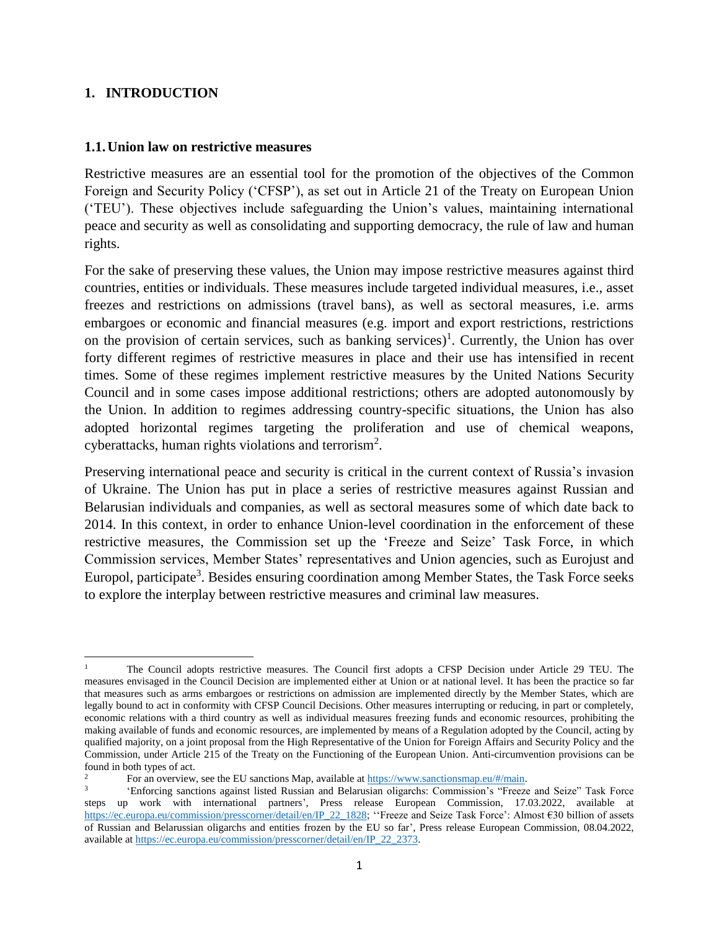## **1. INTRODUCTION**

#### **1.1.Union law on restrictive measures**

Restrictive measures are an essential tool for the promotion of the objectives of the Common Foreign and Security Policy ('CFSP'), as set out in Article 21 of the Treaty on European Union ('TEU'). These objectives include safeguarding the Union's values, maintaining international peace and security as well as consolidating and supporting democracy, the rule of law and human rights.

For the sake of preserving these values, the Union may impose restrictive measures against third countries, entities or individuals. These measures include targeted individual measures, i.e., asset freezes and restrictions on admissions (travel bans), as well as sectoral measures, i.e. arms embargoes or economic and financial measures (e.g. import and export restrictions, restrictions on the provision of certain services, such as banking services)<sup>1</sup>. Currently, the Union has over forty different regimes of restrictive measures in place and their use has intensified in recent times. Some of these regimes implement restrictive measures by the United Nations Security Council and in some cases impose additional restrictions; others are adopted autonomously by the Union. In addition to regimes addressing country-specific situations, the Union has also adopted horizontal regimes targeting the proliferation and use of chemical weapons, cyberattacks, human rights violations and terrorism<sup>2</sup>.

Preserving international peace and security is critical in the current context of Russia's invasion of Ukraine. The Union has put in place a series of restrictive measures against Russian and Belarusian individuals and companies, as well as sectoral measures some of which date back to 2014. In this context, in order to enhance Union-level coordination in the enforcement of these restrictive measures, the Commission set up the 'Freeze and Seize' Task Force, in which Commission services, Member States' representatives and Union agencies, such as Eurojust and Europol, participate<sup>3</sup>. Besides ensuring coordination among Member States, the Task Force seeks to explore the interplay between restrictive measures and criminal law measures.

 $\overline{\phantom{a}}$ <sup>1</sup> The Council adopts restrictive measures. The Council first adopts a CFSP Decision under Article 29 TEU. The measures envisaged in the Council Decision are implemented either at Union or at national level. It has been the practice so far that measures such as arms embargoes or restrictions on admission are implemented directly by the Member States, which are legally bound to act in conformity with CFSP Council Decisions. Other measures interrupting or reducing, in part or completely, economic relations with a third country as well as individual measures freezing funds and economic resources, prohibiting the making available of funds and economic resources, are implemented by means of a Regulation adopted by the Council, acting by qualified majority, on a joint proposal from the High Representative of the Union for Foreign Affairs and Security Policy and the Commission, under Article 215 of the Treaty on the Functioning of the European Union. Anti-circumvention provisions can be found in both types of act.

<sup>2</sup> For an overview, see the EU sanctions Map, available at [https://www.sanctionsmap.eu/#/main.](https://www.sanctionsmap.eu/#/main)

<sup>3</sup> 'Enforcing sanctions against listed Russian and Belarusian oligarchs: Commission's "Freeze and Seize" Task Force steps up work with international partners', Press release European Commission, 17.03.2022, available at [https://ec.europa.eu/commission/presscorner/detail/en/IP\\_22\\_1828;](https://ec.europa.eu/commission/presscorner/detail/en/IP_22_1828) "Freeze and Seize Task Force': Almost €30 billion of assets of Russian and Belarussian oligarchs and entities frozen by the EU so far', Press release European Commission, 08.04.2022, available a[t https://ec.europa.eu/commission/presscorner/detail/en/IP\\_22\\_2373.](https://ec.europa.eu/commission/presscorner/detail/en/IP_22_2373)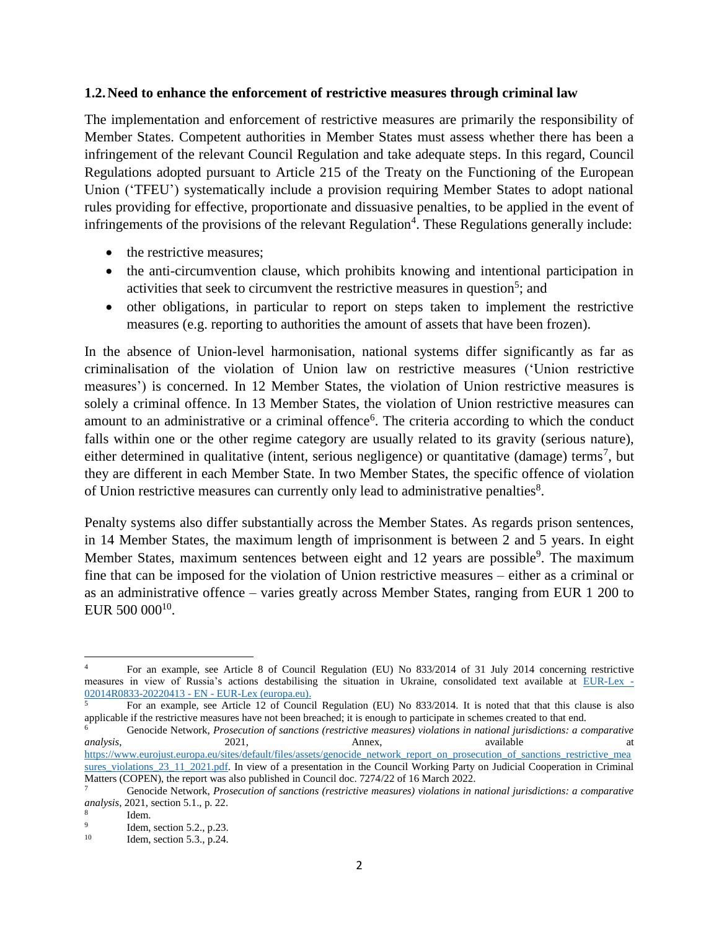#### **1.2.Need to enhance the enforcement of restrictive measures through criminal law**

The implementation and enforcement of restrictive measures are primarily the responsibility of Member States. Competent authorities in Member States must assess whether there has been a infringement of the relevant Council Regulation and take adequate steps. In this regard, Council Regulations adopted pursuant to Article 215 of the Treaty on the Functioning of the European Union ('TFEU') systematically include a provision requiring Member States to adopt national rules providing for effective, proportionate and dissuasive penalties, to be applied in the event of infringements of the provisions of the relevant Regulation<sup>4</sup>. These Regulations generally include:

- the restrictive measures;
- the anti-circumvention clause, which prohibits knowing and intentional participation in activities that seek to circumvent the restrictive measures in question<sup>5</sup>; and
- other obligations, in particular to report on steps taken to implement the restrictive measures (e.g. reporting to authorities the amount of assets that have been frozen).

In the absence of Union-level harmonisation, national systems differ significantly as far as criminalisation of the violation of Union law on restrictive measures ('Union restrictive measures') is concerned. In 12 Member States, the violation of Union restrictive measures is solely a criminal offence. In 13 Member States, the violation of Union restrictive measures can amount to an administrative or a criminal offence<sup>6</sup>. The criteria according to which the conduct falls within one or the other regime category are usually related to its gravity (serious nature), either determined in qualitative (intent, serious negligence) or quantitative (damage) terms<sup>7</sup>, but they are different in each Member State. In two Member States, the specific offence of violation of Union restrictive measures can currently only lead to administrative penalties $8$ .

Penalty systems also differ substantially across the Member States. As regards prison sentences, in 14 Member States, the maximum length of imprisonment is between 2 and 5 years. In eight Member States, maximum sentences between eight and 12 years are possible<sup>9</sup>. The maximum fine that can be imposed for the violation of Union restrictive measures – either as a criminal or as an administrative offence – varies greatly across Member States, ranging from EUR 1 200 to EUR 500 000 $^{10}$ .

 $\overline{\phantom{a}}$ 

<sup>4</sup> For an example, see Article 8 of Council Regulation (EU) No 833/2014 of 31 July 2014 concerning restrictive measures in view of Russia's actions destabilising the situation in Ukraine, consolidated text available at [EUR-Lex -](https://eur-lex.europa.eu/legal-content/EN/TXT/?uri=CELEX%3A02014R0833-20220413) [02014R0833-20220413 -](https://eur-lex.europa.eu/legal-content/EN/TXT/?uri=CELEX%3A02014R0833-20220413) EN - EUR-Lex (europa.eu).

<sup>5</sup> For an example, see Article 12 of Council Regulation (EU) No 833/2014. It is noted that that this clause is also applicable if the restrictive measures have not been breached; it is enough to participate in schemes created to that end.

<sup>6</sup> Genocide Network, *Prosecution of sanctions (restrictive measures) violations in national jurisdictions: a comparative analysis*, 2021, 2021, Annex, available at at [https://www.eurojust.europa.eu/sites/default/files/assets/genocide\\_network\\_report\\_on\\_prosecution\\_of\\_sanctions\\_restrictive\\_mea](https://www.eurojust.europa.eu/sites/default/files/assets/genocide_network_report_on_prosecution_of_sanctions_restrictive_measures_violations_23_11_2021.pdf) [sures\\_violations\\_23\\_11\\_2021.pdf.](https://www.eurojust.europa.eu/sites/default/files/assets/genocide_network_report_on_prosecution_of_sanctions_restrictive_measures_violations_23_11_2021.pdf) In view of a presentation in the Council Working Party on Judicial Cooperation in Criminal Matters (COPEN), the report was also published in Council doc. 7274/22 of 16 March 2022.

<sup>7</sup> Genocide Network, *Prosecution of sanctions (restrictive measures) violations in national jurisdictions: a comparative analysis*, 2021, section 5.1., p. 22.

<sup>8</sup> Idem. 9

Idem, section 5.2., p.23.

<sup>10</sup> Idem, section 5.3., p.24.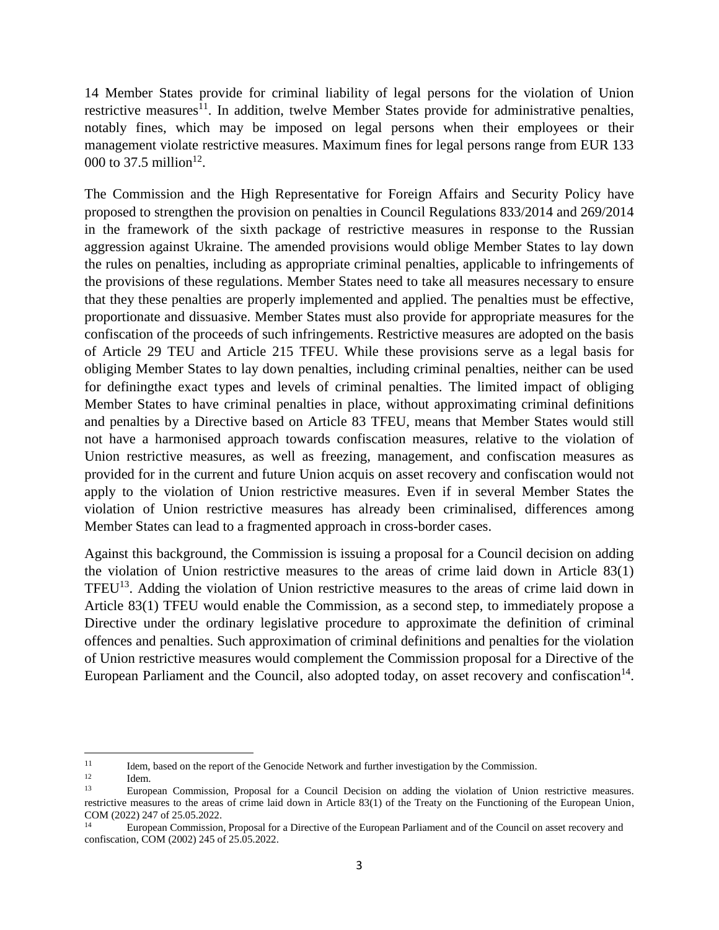14 Member States provide for criminal liability of legal persons for the violation of Union restrictive measures<sup>11</sup>. In addition, twelve Member States provide for administrative penalties, notably fines, which may be imposed on legal persons when their employees or their management violate restrictive measures. Maximum fines for legal persons range from EUR 133 000 to 37.5 million<sup>12</sup>.

The Commission and the High Representative for Foreign Affairs and Security Policy have proposed to strengthen the provision on penalties in Council Regulations 833/2014 and 269/2014 in the framework of the sixth package of restrictive measures in response to the Russian aggression against Ukraine. The amended provisions would oblige Member States to lay down the rules on penalties, including as appropriate criminal penalties, applicable to infringements of the provisions of these regulations. Member States need to take all measures necessary to ensure that they these penalties are properly implemented and applied. The penalties must be effective, proportionate and dissuasive. Member States must also provide for appropriate measures for the confiscation of the proceeds of such infringements. Restrictive measures are adopted on the basis of Article 29 TEU and Article 215 TFEU. While these provisions serve as a legal basis for obliging Member States to lay down penalties, including criminal penalties, neither can be used for definingthe exact types and levels of criminal penalties. The limited impact of obliging Member States to have criminal penalties in place, without approximating criminal definitions and penalties by a Directive based on Article 83 TFEU, means that Member States would still not have a harmonised approach towards confiscation measures, relative to the violation of Union restrictive measures, as well as freezing, management, and confiscation measures as provided for in the current and future Union acquis on asset recovery and confiscation would not apply to the violation of Union restrictive measures. Even if in several Member States the violation of Union restrictive measures has already been criminalised, differences among Member States can lead to a fragmented approach in cross-border cases.

Against this background, the Commission is issuing a proposal for a Council decision on adding the violation of Union restrictive measures to the areas of crime laid down in Article 83(1) TFEU<sup>13</sup>. Adding the violation of Union restrictive measures to the areas of crime laid down in Article 83(1) TFEU would enable the Commission, as a second step, to immediately propose a Directive under the ordinary legislative procedure to approximate the definition of criminal offences and penalties. Such approximation of criminal definitions and penalties for the violation of Union restrictive measures would complement the Commission proposal for a Directive of the European Parliament and the Council, also adopted today, on asset recovery and confiscation<sup>14</sup>.

 $11\,$  $11$  Idem, based on the report of the Genocide Network and further investigation by the Commission.

 $12$  Idem.

<sup>13</sup> European Commission, Proposal for a Council Decision on adding the violation of Union restrictive measures. restrictive measures to the areas of crime laid down in Article 83(1) of the Treaty on the Functioning of the European Union, COM (2022) 247 of 25.05.2022.

<sup>14</sup> European Commission, Proposal for a Directive of the European Parliament and of the Council on asset recovery and confiscation, COM (2002) 245 of 25.05.2022.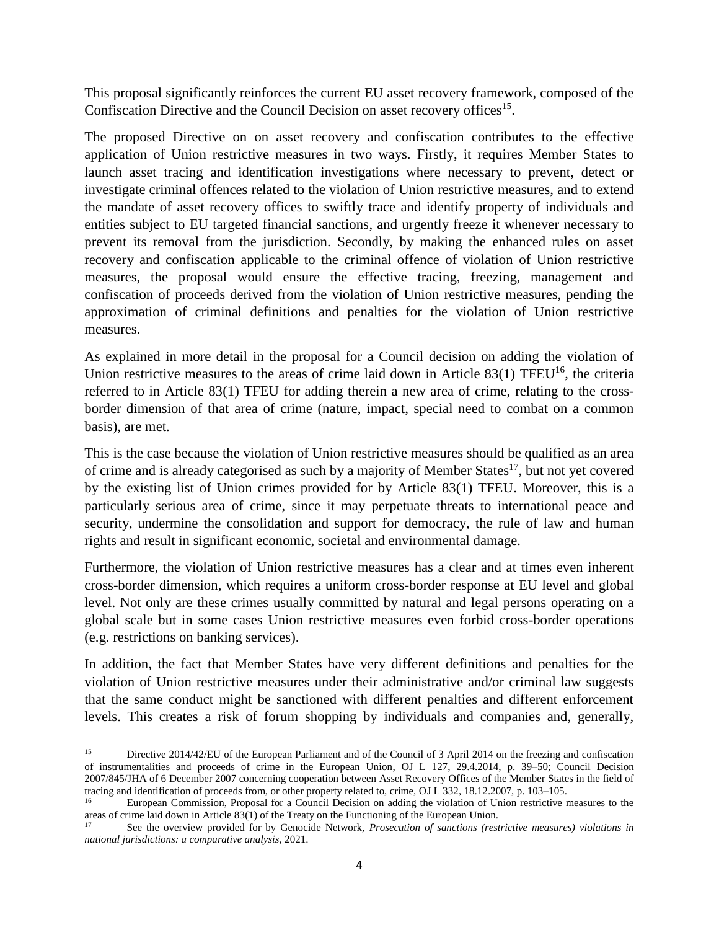This proposal significantly reinforces the current EU asset recovery framework, composed of the Confiscation Directive and the Council Decision on asset recovery offices<sup>15</sup>.

The proposed Directive on on asset recovery and confiscation contributes to the effective application of Union restrictive measures in two ways. Firstly, it requires Member States to launch asset tracing and identification investigations where necessary to prevent, detect or investigate criminal offences related to the violation of Union restrictive measures, and to extend the mandate of asset recovery offices to swiftly trace and identify property of individuals and entities subject to EU targeted financial sanctions, and urgently freeze it whenever necessary to prevent its removal from the jurisdiction. Secondly, by making the enhanced rules on asset recovery and confiscation applicable to the criminal offence of violation of Union restrictive measures, the proposal would ensure the effective tracing, freezing, management and confiscation of proceeds derived from the violation of Union restrictive measures, pending the approximation of criminal definitions and penalties for the violation of Union restrictive measures.

As explained in more detail in the proposal for a Council decision on adding the violation of Union restrictive measures to the areas of crime laid down in Article  $83(1)$  TFEU<sup>16</sup>, the criteria referred to in Article 83(1) TFEU for adding therein a new area of crime, relating to the crossborder dimension of that area of crime (nature, impact, special need to combat on a common basis), are met.

This is the case because the violation of Union restrictive measures should be qualified as an area of crime and is already categorised as such by a majority of Member States<sup>17</sup>, but not yet covered by the existing list of Union crimes provided for by Article 83(1) TFEU. Moreover, this is a particularly serious area of crime, since it may perpetuate threats to international peace and security, undermine the consolidation and support for democracy, the rule of law and human rights and result in significant economic, societal and environmental damage.

Furthermore, the violation of Union restrictive measures has a clear and at times even inherent cross-border dimension, which requires a uniform cross-border response at EU level and global level. Not only are these crimes usually committed by natural and legal persons operating on a global scale but in some cases Union restrictive measures even forbid cross-border operations (e.g. restrictions on banking services).

In addition, the fact that Member States have very different definitions and penalties for the violation of Union restrictive measures under their administrative and/or criminal law suggests that the same conduct might be sanctioned with different penalties and different enforcement levels. This creates a risk of forum shopping by individuals and companies and, generally,

 $\overline{\phantom{a}}$ 

<sup>15</sup> Directive 2014/42/EU of the European Parliament and of the Council of 3 April 2014 on the freezing and confiscation of instrumentalities and proceeds of crime in the European Union, OJ L 127, 29.4.2014, p. 39–50; Council Decision 2007/845/JHA of 6 December 2007 concerning cooperation between Asset Recovery Offices of the Member States in the field of tracing and identification of proceeds from, or other property related to, crime, OJ L 332, 18.12.2007, p. 103–105.

<sup>16</sup> European Commission, Proposal for a Council Decision on adding the violation of Union restrictive measures to the areas of crime laid down in Article 83(1) of the Treaty on the Functioning of the European Union.

See the overview provided for by Genocide Network, *Prosecution of sanctions (restrictive measures) violations in national jurisdictions: a comparative analysis*, 2021.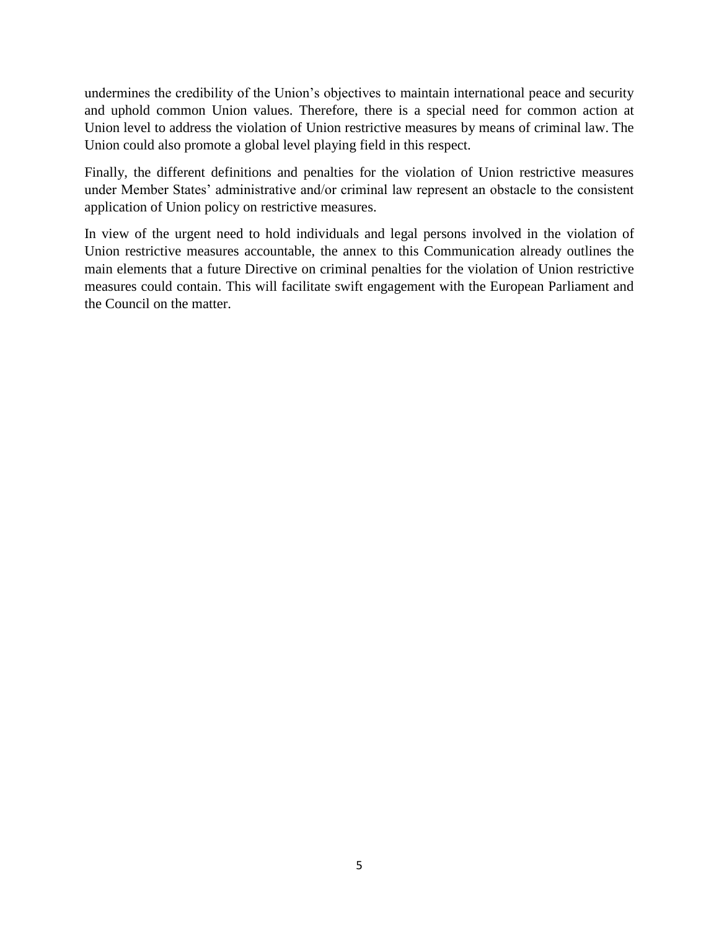undermines the credibility of the Union's objectives to maintain international peace and security and uphold common Union values. Therefore, there is a special need for common action at Union level to address the violation of Union restrictive measures by means of criminal law. The Union could also promote a global level playing field in this respect.

Finally, the different definitions and penalties for the violation of Union restrictive measures under Member States' administrative and/or criminal law represent an obstacle to the consistent application of Union policy on restrictive measures.

In view of the urgent need to hold individuals and legal persons involved in the violation of Union restrictive measures accountable, the annex to this Communication already outlines the main elements that a future Directive on criminal penalties for the violation of Union restrictive measures could contain. This will facilitate swift engagement with the European Parliament and the Council on the matter.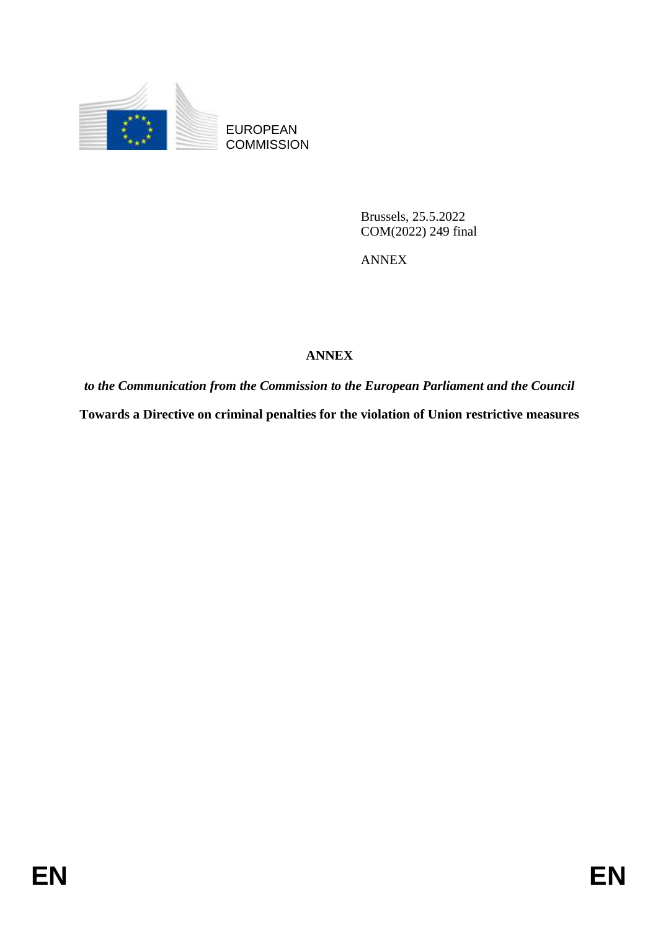

EUROPEAN **COMMISSION** 

> Brussels, 25.5.2022 COM(2022) 249 final

ANNEX

# **ANNEX**

*to the Communication from the Commission to the European Parliament and the Council*  **Towards a Directive on criminal penalties for the violation of Union restrictive measures**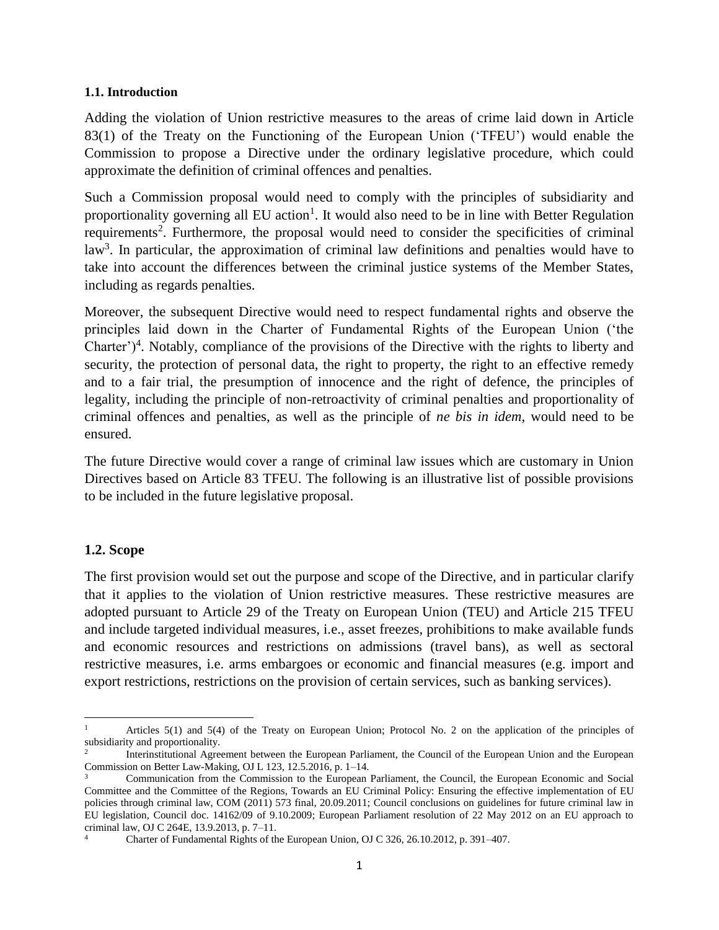#### **1.1. Introduction**

Adding the violation of Union restrictive measures to the areas of crime laid down in Article 83(1) of the Treaty on the Functioning of the European Union ('TFEU') would enable the Commission to propose a Directive under the ordinary legislative procedure, which could approximate the definition of criminal offences and penalties.

Such a Commission proposal would need to comply with the principles of subsidiarity and proportionality governing all EU action<sup>1</sup>. It would also need to be in line with Better Regulation requirements<sup>2</sup>. Furthermore, the proposal would need to consider the specificities of criminal law<sup>3</sup>. In particular, the approximation of criminal law definitions and penalties would have to take into account the differences between the criminal justice systems of the Member States, including as regards penalties.

Moreover, the subsequent Directive would need to respect fundamental rights and observe the principles laid down in the Charter of Fundamental Rights of the European Union ('the Charter')<sup>4</sup>. Notably, compliance of the provisions of the Directive with the rights to liberty and security, the protection of personal data, the right to property, the right to an effective remedy and to a fair trial, the presumption of innocence and the right of defence, the principles of legality, including the principle of non-retroactivity of criminal penalties and proportionality of criminal offences and penalties, as well as the principle of *ne bis in idem*, would need to be ensured.

The future Directive would cover a range of criminal law issues which are customary in Union Directives based on Article 83 TFEU. The following is an illustrative list of possible provisions to be included in the future legislative proposal.

#### **1.2. Scope**

The first provision would set out the purpose and scope of the Directive, and in particular clarify that it applies to the violation of Union restrictive measures. These restrictive measures are adopted pursuant to Article 29 of the Treaty on European Union (TEU) and Article 215 TFEU and include targeted individual measures, i.e., asset freezes, prohibitions to make available funds and economic resources and restrictions on admissions (travel bans), as well as sectoral restrictive measures, i.e. arms embargoes or economic and financial measures (e.g. import and export restrictions, restrictions on the provision of certain services, such as banking services).

 $\overline{\phantom{a}}$ <sup>1</sup> Articles 5(1) and 5(4) of the Treaty on European Union; Protocol No. 2 on the application of the principles of subsidiarity and proportionality.

<sup>2</sup> Interinstitutional Agreement between the European Parliament, the Council of the European Union and the European Commission on Better Law-Making, OJ L 123, 12.5.2016, p. 1–14.

<sup>3</sup> Communication from the Commission to the European Parliament, the Council, the European Economic and Social Committee and the Committee of the Regions, Towards an EU Criminal Policy: Ensuring the effective implementation of EU policies through criminal law, COM (2011) 573 final, 20.09.2011; Council conclusions on guidelines for future criminal law in EU legislation, Council doc. 14162/09 of 9.10.2009; European Parliament resolution of 22 May 2012 on an EU approach to criminal law, OJ C 264E, 13.9.2013, p. 7–11.

<sup>4</sup> Charter of Fundamental Rights of the European Union, OJ C 326, 26.10.2012, p. 391–407.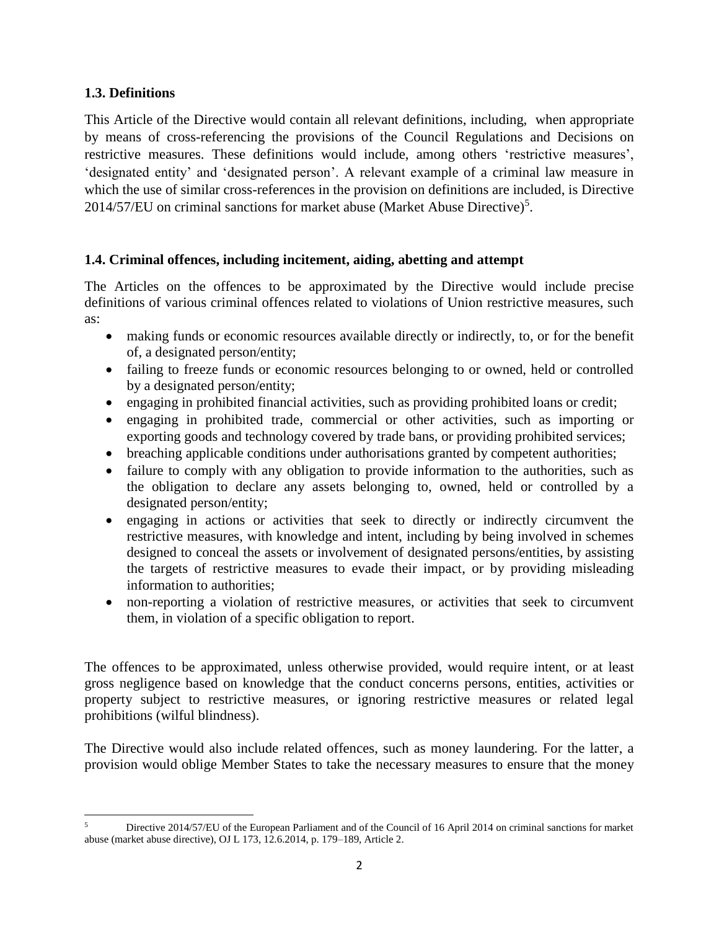# **1.3. Definitions**

This Article of the Directive would contain all relevant definitions, including, when appropriate by means of cross-referencing the provisions of the Council Regulations and Decisions on restrictive measures. These definitions would include, among others 'restrictive measures', 'designated entity' and 'designated person'. A relevant example of a criminal law measure in which the use of similar cross-references in the provision on definitions are included, is Directive 2014/57/EU on criminal sanctions for market abuse (Market Abuse Directive)<sup>5</sup>.

## **1.4. Criminal offences, including incitement, aiding, abetting and attempt**

The Articles on the offences to be approximated by the Directive would include precise definitions of various criminal offences related to violations of Union restrictive measures, such as:

- making funds or economic resources available directly or indirectly, to, or for the benefit of, a designated person/entity;
- failing to freeze funds or economic resources belonging to or owned, held or controlled by a designated person/entity;
- engaging in prohibited financial activities, such as providing prohibited loans or credit;
- engaging in prohibited trade, commercial or other activities, such as importing or exporting goods and technology covered by trade bans, or providing prohibited services;
- breaching applicable conditions under authorisations granted by competent authorities;
- failure to comply with any obligation to provide information to the authorities, such as the obligation to declare any assets belonging to, owned, held or controlled by a designated person/entity;
- engaging in actions or activities that seek to directly or indirectly circumvent the restrictive measures, with knowledge and intent, including by being involved in schemes designed to conceal the assets or involvement of designated persons/entities, by assisting the targets of restrictive measures to evade their impact, or by providing misleading information to authorities;
- non-reporting a violation of restrictive measures, or activities that seek to circumvent them, in violation of a specific obligation to report.

The offences to be approximated, unless otherwise provided, would require intent, or at least gross negligence based on knowledge that the conduct concerns persons, entities, activities or property subject to restrictive measures, or ignoring restrictive measures or related legal prohibitions (wilful blindness).

The Directive would also include related offences, such as money laundering. For the latter, a provision would oblige Member States to take the necessary measures to ensure that the money

 $\overline{\phantom{a}}$ <sup>5</sup> Directive 2014/57/EU of the European Parliament and of the Council of 16 April 2014 on criminal sanctions for market abuse (market abuse directive), OJ L 173, 12.6.2014, p. 179–189, Article 2.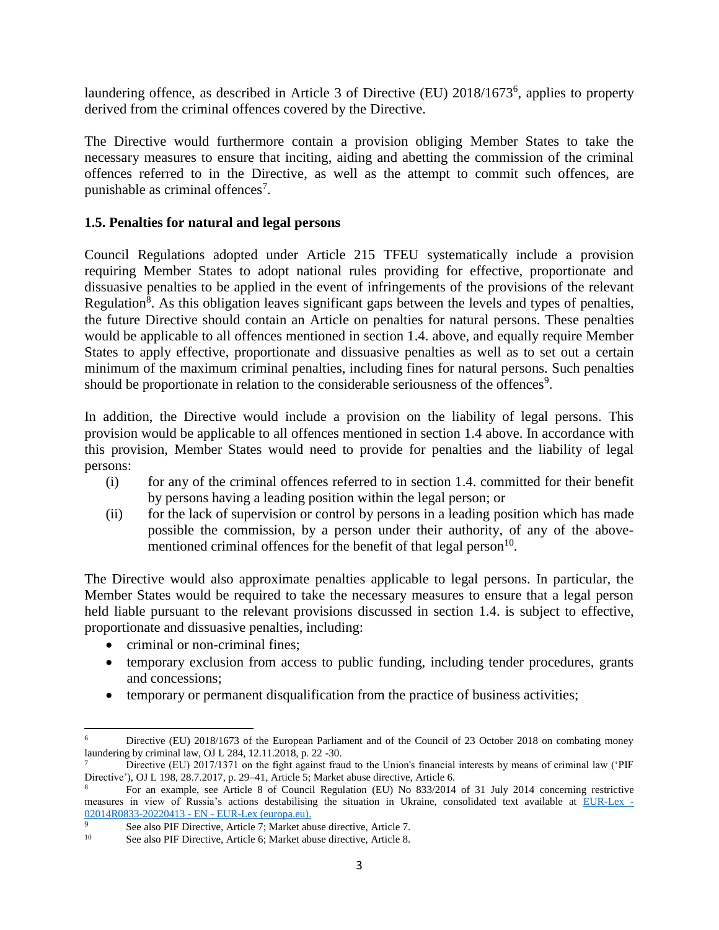laundering offence, as described in Article 3 of Directive (EU) 2018/1673<sup>6</sup>, applies to property derived from the criminal offences covered by the Directive.

The Directive would furthermore contain a provision obliging Member States to take the necessary measures to ensure that inciting, aiding and abetting the commission of the criminal offences referred to in the Directive, as well as the attempt to commit such offences, are punishable as criminal offences<sup>7</sup>.

# **1.5. Penalties for natural and legal persons**

Council Regulations adopted under Article 215 TFEU systematically include a provision requiring Member States to adopt national rules providing for effective, proportionate and dissuasive penalties to be applied in the event of infringements of the provisions of the relevant Regulation<sup>8</sup>. As this obligation leaves significant gaps between the levels and types of penalties, the future Directive should contain an Article on penalties for natural persons. These penalties would be applicable to all offences mentioned in section 1.4. above, and equally require Member States to apply effective, proportionate and dissuasive penalties as well as to set out a certain minimum of the maximum criminal penalties, including fines for natural persons. Such penalties should be proportionate in relation to the considerable seriousness of the offences<sup>9</sup>.

In addition, the Directive would include a provision on the liability of legal persons. This provision would be applicable to all offences mentioned in section 1.4 above. In accordance with this provision, Member States would need to provide for penalties and the liability of legal persons:

- (i) for any of the criminal offences referred to in section 1.4. committed for their benefit by persons having a leading position within the legal person; or
- (ii) for the lack of supervision or control by persons in a leading position which has made possible the commission, by a person under their authority, of any of the abovementioned criminal offences for the benefit of that legal person $10$ .

The Directive would also approximate penalties applicable to legal persons. In particular, the Member States would be required to take the necessary measures to ensure that a legal person held liable pursuant to the relevant provisions discussed in section 1.4. is subject to effective, proportionate and dissuasive penalties, including:

- criminal or non-criminal fines:
- temporary exclusion from access to public funding, including tender procedures, grants and concessions;
- temporary or permanent disqualification from the practice of business activities;

 $\overline{a}$ <sup>6</sup> Directive (EU) 2018/1673 of the European Parliament and of the Council of 23 October 2018 on combating money laundering by criminal law, OJ L 284, 12.11.2018, p. 22 -30.

Directive (EU) 2017/1371 on the fight against fraud to the Union's financial interests by means of criminal law ('PIF Directive'), OJ L 198, 28.7.2017, p. 29–41, Article 5; Market abuse directive, Article 6.

<sup>8</sup> For an example, see Article 8 of Council Regulation (EU) No 833/2014 of 31 July 2014 concerning restrictive measures in view of Russia's actions destabilising the situation in Ukraine, consolidated text available at [EUR-Lex -](https://eur-lex.europa.eu/legal-content/EN/TXT/?uri=CELEX%3A02014R0833-20220413) [02014R0833-20220413 -](https://eur-lex.europa.eu/legal-content/EN/TXT/?uri=CELEX%3A02014R0833-20220413) EN - EUR-Lex (europa.eu).<br>9

<sup>&</sup>lt;sup>9</sup> See also PIF Directive, Article 7; Market abuse directive, Article 7.<br><sup>10</sup> See also PIF Directive, Article 6; Market abuse directive, Article 8.

See also PIF Directive, Article 6; Market abuse directive, Article 8.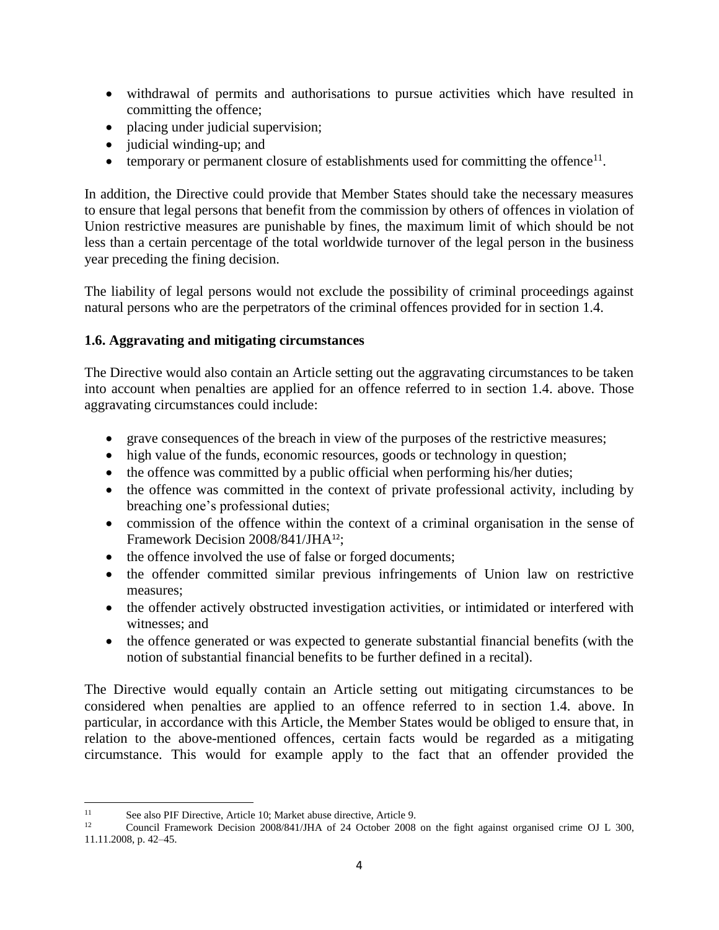- withdrawal of permits and authorisations to pursue activities which have resulted in committing the offence;
- placing under judicial supervision;
- judicial winding-up; and
- $\bullet$  temporary or permanent closure of establishments used for committing the offence<sup>11</sup>.

In addition, the Directive could provide that Member States should take the necessary measures to ensure that legal persons that benefit from the commission by others of offences in violation of Union restrictive measures are punishable by fines, the maximum limit of which should be not less than a certain percentage of the total worldwide turnover of the legal person in the business year preceding the fining decision.

The liability of legal persons would not exclude the possibility of criminal proceedings against natural persons who are the perpetrators of the criminal offences provided for in section 1.4.

# **1.6. Aggravating and mitigating circumstances**

The Directive would also contain an Article setting out the aggravating circumstances to be taken into account when penalties are applied for an offence referred to in section 1.4. above. Those aggravating circumstances could include:

- grave consequences of the breach in view of the purposes of the restrictive measures;
- high value of the funds, economic resources, goods or technology in question;
- the offence was committed by a public official when performing his/her duties;
- the offence was committed in the context of private professional activity, including by breaching one's professional duties;
- commission of the offence within the context of a criminal organisation in the sense of Framework Decision 2008/841/JHA<sup>12</sup>;
- the offence involved the use of false or forged documents;
- the offender committed similar previous infringements of Union law on restrictive measures;
- the offender actively obstructed investigation activities, or intimidated or interfered with witnesses; and
- the offence generated or was expected to generate substantial financial benefits (with the notion of substantial financial benefits to be further defined in a recital).

The Directive would equally contain an Article setting out mitigating circumstances to be considered when penalties are applied to an offence referred to in section 1.4. above. In particular, in accordance with this Article, the Member States would be obliged to ensure that, in relation to the above-mentioned offences, certain facts would be regarded as a mitigating circumstance. This would for example apply to the fact that an offender provided the

 $11$ <sup>11</sup> See also PIF Directive, Article 10; Market abuse directive, Article 9.<br>
Council Framework Decision 2008/841/IHA of 24 October 2008.

<sup>12</sup> Council Framework Decision 2008/841/JHA of 24 October 2008 on the fight against organised crime OJ L 300, 11.11.2008, p. 42–45.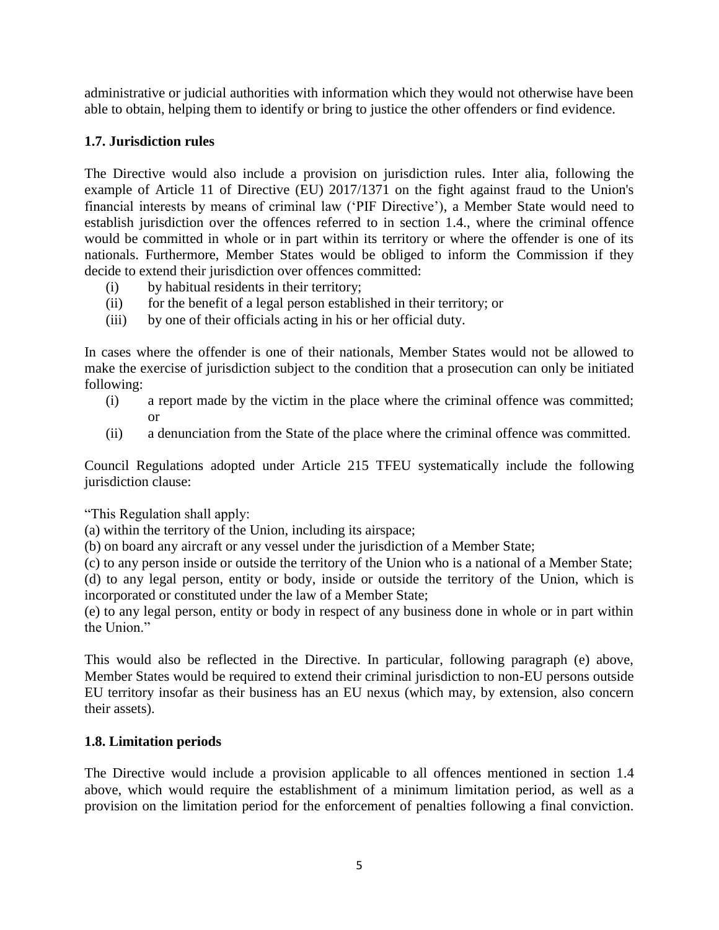administrative or judicial authorities with information which they would not otherwise have been able to obtain, helping them to identify or bring to justice the other offenders or find evidence.

# **1.7. Jurisdiction rules**

The Directive would also include a provision on jurisdiction rules. Inter alia, following the example of Article 11 of Directive (EU) 2017/1371 on the fight against fraud to the Union's financial interests by means of criminal law ('PIF Directive'), a Member State would need to establish jurisdiction over the offences referred to in section 1.4., where the criminal offence would be committed in whole or in part within its territory or where the offender is one of its nationals. Furthermore, Member States would be obliged to inform the Commission if they decide to extend their jurisdiction over offences committed:

- (i) by habitual residents in their territory;
- (ii) for the benefit of a legal person established in their territory; or
- (iii) by one of their officials acting in his or her official duty.

In cases where the offender is one of their nationals, Member States would not be allowed to make the exercise of jurisdiction subject to the condition that a prosecution can only be initiated following:

- (i) a report made by the victim in the place where the criminal offence was committed; or
- (ii) a denunciation from the State of the place where the criminal offence was committed.

Council Regulations adopted under Article 215 TFEU systematically include the following jurisdiction clause:

"This Regulation shall apply:

(a) within the territory of the Union, including its airspace;

(b) on board any aircraft or any vessel under the jurisdiction of a Member State;

(c) to any person inside or outside the territory of the Union who is a national of a Member State; (d) to any legal person, entity or body, inside or outside the territory of the Union, which is incorporated or constituted under the law of a Member State;

(e) to any legal person, entity or body in respect of any business done in whole or in part within the Union."

This would also be reflected in the Directive. In particular, following paragraph (e) above, Member States would be required to extend their criminal jurisdiction to non-EU persons outside EU territory insofar as their business has an EU nexus (which may, by extension, also concern their assets).

#### **1.8. Limitation periods**

The Directive would include a provision applicable to all offences mentioned in section 1.4 above, which would require the establishment of a minimum limitation period, as well as a provision on the limitation period for the enforcement of penalties following a final conviction.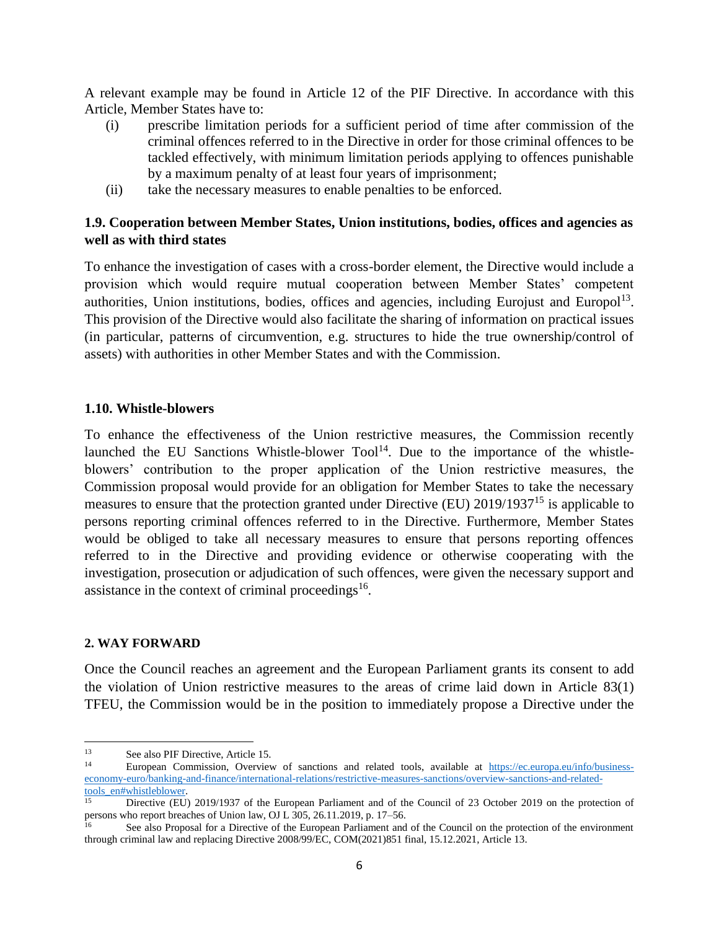A relevant example may be found in Article 12 of the PIF Directive. In accordance with this Article, Member States have to:

- (i) prescribe limitation periods for a sufficient period of time after commission of the criminal offences referred to in the Directive in order for those criminal offences to be tackled effectively, with minimum limitation periods applying to offences punishable by a maximum penalty of at least four years of imprisonment;
- (ii) take the necessary measures to enable penalties to be enforced.

# **1.9. Cooperation between Member States, Union institutions, bodies, offices and agencies as well as with third states**

To enhance the investigation of cases with a cross-border element, the Directive would include a provision which would require mutual cooperation between Member States' competent authorities, Union institutions, bodies, offices and agencies, including Eurojust and Europol<sup>13</sup>. This provision of the Directive would also facilitate the sharing of information on practical issues (in particular, patterns of circumvention, e.g. structures to hide the true ownership/control of assets) with authorities in other Member States and with the Commission.

## **1.10. Whistle-blowers**

To enhance the effectiveness of the Union restrictive measures, the Commission recently launched the EU Sanctions Whistle-blower  $Tool<sup>14</sup>$ . Due to the importance of the whistleblowers' contribution to the proper application of the Union restrictive measures, the Commission proposal would provide for an obligation for Member States to take the necessary measures to ensure that the protection granted under Directive (EU) 2019/1937<sup>15</sup> is applicable to persons reporting criminal offences referred to in the Directive. Furthermore, Member States would be obliged to take all necessary measures to ensure that persons reporting offences referred to in the Directive and providing evidence or otherwise cooperating with the investigation, prosecution or adjudication of such offences, were given the necessary support and assistance in the context of criminal proceedings<sup>16</sup>.

# **2. WAY FORWARD**

Once the Council reaches an agreement and the European Parliament grants its consent to add the violation of Union restrictive measures to the areas of crime laid down in Article 83(1) TFEU, the Commission would be in the position to immediately propose a Directive under the

 $\overline{\phantom{a}}$ <sup>13</sup> See also PIF Directive, Article 15.

<sup>14</sup> European Commission, Overview of sanctions and related tools, available at [https://ec.europa.eu/info/business](https://ec.europa.eu/info/business-economy-euro/banking-and-finance/international-relations/restrictive-measures-sanctions/overview-sanctions-and-related-tools_en#whistleblower)[economy-euro/banking-and-finance/international-relations/restrictive-measures-sanctions/overview-sanctions-and-related](https://ec.europa.eu/info/business-economy-euro/banking-and-finance/international-relations/restrictive-measures-sanctions/overview-sanctions-and-related-tools_en#whistleblower)[tools\\_en#whistleblower.](https://ec.europa.eu/info/business-economy-euro/banking-and-finance/international-relations/restrictive-measures-sanctions/overview-sanctions-and-related-tools_en#whistleblower)

Directive (EU) 2019/1937 of the European Parliament and of the Council of 23 October 2019 on the protection of persons who report breaches of Union law, OJ L 305, 26.11.2019, p. 17–56.

See also Proposal for a Directive of the European Parliament and of the Council on the protection of the environment through criminal law and replacing Directive 2008/99/EC, COM(2021)851 final, 15.12.2021, Article 13.